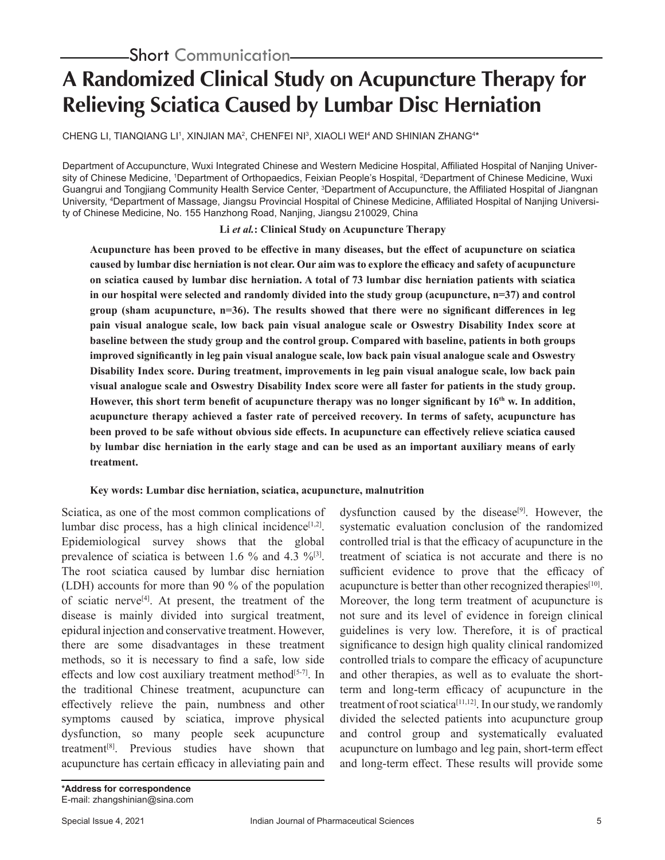# **A Randomized Clinical Study on Acupuncture Therapy for Relieving Sciatica Caused by Lumbar Disc Herniation**

CHENG LI, TIANQIANG LI', XINJIAN MA', CHENFEI NI', XIAOLI WEI<del>'</del> AND SHINIAN ZHANGʻ\*

Department of Accupuncture, Wuxi Integrated Chinese and Western Medicine Hospital, Affiliated Hospital of Nanjing University of Chinese Medicine, 1 Department of Orthopaedics, Feixian People's Hospital, 2 Department of Chinese Medicine, Wuxi Guangrui and Tongjiang Community Health Service Center, <sup>3</sup>Department of Accupuncture, the Affiliated Hospital of Jiangnan University, <sup>4</sup> Department of Massage, Jiangsu Provincial Hospital of Chinese Medicine, Affiliated Hospital of Nanjing University of Chinese Medicine, No. 155 Hanzhong Road, Nanjing, Jiangsu 210029, China

**Li** *et al.***: Clinical Study on Acupuncture Therapy**

**Acupuncture has been proved to be effective in many diseases, but the effect of acupuncture on sciatica caused by lumbar disc herniation is not clear. Our aim was to explore the efficacy and safety of acupuncture on sciatica caused by lumbar disc herniation. A total of 73 lumbar disc herniation patients with sciatica in our hospital were selected and randomly divided into the study group (acupuncture, n=37) and control group (sham acupuncture, n=36). The results showed that there were no significant differences in leg pain visual analogue scale, low back pain visual analogue scale or Oswestry Disability Index score at baseline between the study group and the control group. Compared with baseline, patients in both groups improved significantly in leg pain visual analogue scale, low back pain visual analogue scale and Oswestry Disability Index score. During treatment, improvements in leg pain visual analogue scale, low back pain visual analogue scale and Oswestry Disability Index score were all faster for patients in the study group. However, this short term benefit of acupuncture therapy was no longer significant by 16th w. In addition, acupuncture therapy achieved a faster rate of perceived recovery. In terms of safety, acupuncture has been proved to be safe without obvious side effects. In acupuncture can effectively relieve sciatica caused by lumbar disc herniation in the early stage and can be used as an important auxiliary means of early treatment.**

#### **Key words: Lumbar disc herniation, sciatica, acupuncture, malnutrition**

Sciatica, as one of the most common complications of lumbar disc process, has a high clinical incidence $[1,2]$ . Epidemiological survey shows that the global prevalence of sciatica is between 1.6 % and 4.3 % $^{[3]}$ . The root sciatica caused by lumbar disc herniation (LDH) accounts for more than 90 % of the population of sciatic nerve<sup>[4]</sup>. At present, the treatment of the disease is mainly divided into surgical treatment, epidural injection and conservative treatment. However, there are some disadvantages in these treatment methods, so it is necessary to find a safe, low side effects and low cost auxiliary treatment method<sup>[5-7]</sup>. In the traditional Chinese treatment, acupuncture can effectively relieve the pain, numbness and other symptoms caused by sciatica, improve physical dysfunction, so many people seek acupuncture treatment[8]. Previous studies have shown that acupuncture has certain efficacy in alleviating pain and

dysfunction caused by the disease<sup>[9]</sup>. However, the systematic evaluation conclusion of the randomized controlled trial is that the efficacy of acupuncture in the treatment of sciatica is not accurate and there is no sufficient evidence to prove that the efficacy of acupuncture is better than other recognized therapies<sup>[10]</sup>. Moreover, the long term treatment of acupuncture is not sure and its level of evidence in foreign clinical guidelines is very low. Therefore, it is of practical significance to design high quality clinical randomized controlled trials to compare the efficacy of acupuncture and other therapies, as well as to evaluate the shortterm and long-term efficacy of acupuncture in the treatment of root sciatica<sup>[11,12]</sup>. In our study, we randomly divided the selected patients into acupuncture group and control group and systematically evaluated acupuncture on lumbago and leg pain, short-term effect and long-term effect. These results will provide some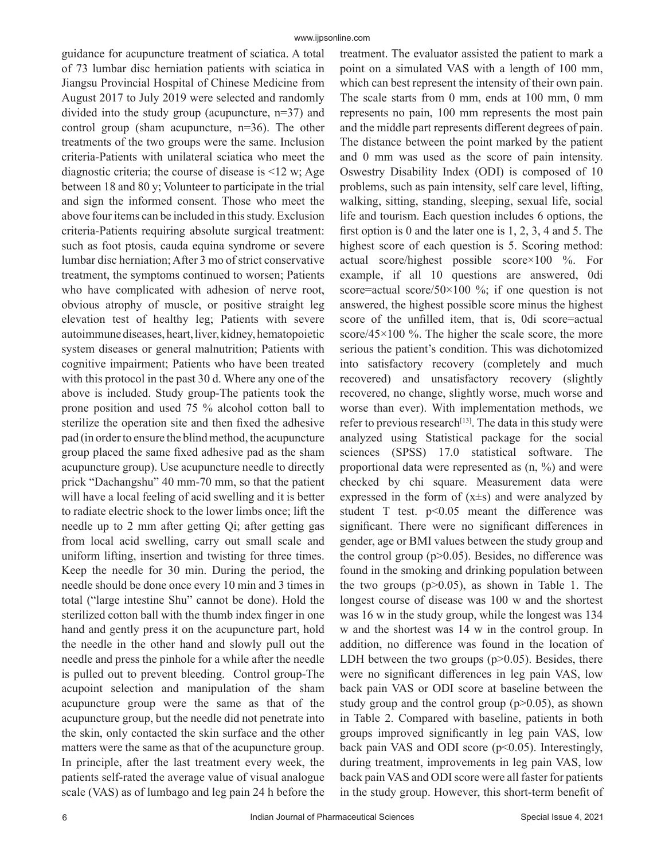guidance for acupuncture treatment of sciatica. A total of 73 lumbar disc herniation patients with sciatica in Jiangsu Provincial Hospital of Chinese Medicine from August 2017 to July 2019 were selected and randomly divided into the study group (acupuncture, n=37) and control group (sham acupuncture, n=36). The other treatments of the two groups were the same. Inclusion criteria-Patients with unilateral sciatica who meet the diagnostic criteria; the course of disease is  $\leq 12$  w; Age between 18 and 80 y; Volunteer to participate in the trial and sign the informed consent. Those who meet the above four items can be included in this study. Exclusion criteria-Patients requiring absolute surgical treatment: such as foot ptosis, cauda equina syndrome or severe lumbar disc herniation; After 3 mo of strict conservative treatment, the symptoms continued to worsen; Patients who have complicated with adhesion of nerve root, obvious atrophy of muscle, or positive straight leg elevation test of healthy leg; Patients with severe autoimmune diseases, heart, liver, kidney, hematopoietic system diseases or general malnutrition; Patients with cognitive impairment; Patients who have been treated with this protocol in the past 30 d. Where any one of the above is included. Study group-The patients took the prone position and used 75 % alcohol cotton ball to sterilize the operation site and then fixed the adhesive pad (in order to ensure the blind method, the acupuncture group placed the same fixed adhesive pad as the sham acupuncture group). Use acupuncture needle to directly prick "Dachangshu" 40 mm-70 mm, so that the patient will have a local feeling of acid swelling and it is better to radiate electric shock to the lower limbs once; lift the needle up to 2 mm after getting Qi; after getting gas from local acid swelling, carry out small scale and uniform lifting, insertion and twisting for three times. Keep the needle for 30 min. During the period, the needle should be done once every 10 min and 3 times in total ("large intestine Shu" cannot be done). Hold the sterilized cotton ball with the thumb index finger in one hand and gently press it on the acupuncture part, hold the needle in the other hand and slowly pull out the needle and press the pinhole for a while after the needle is pulled out to prevent bleeding. Control group-The acupoint selection and manipulation of the sham acupuncture group were the same as that of the acupuncture group, but the needle did not penetrate into the skin, only contacted the skin surface and the other matters were the same as that of the acupuncture group. In principle, after the last treatment every week, the patients self-rated the average value of visual analogue scale (VAS) as of lumbago and leg pain 24 h before the

treatment. The evaluator assisted the patient to mark a point on a simulated VAS with a length of 100 mm, which can best represent the intensity of their own pain. The scale starts from 0 mm, ends at 100 mm, 0 mm represents no pain, 100 mm represents the most pain and the middle part represents different degrees of pain. The distance between the point marked by the patient and 0 mm was used as the score of pain intensity. Oswestry Disability Index (ODI) is composed of 10 problems, such as pain intensity, self care level, lifting, walking, sitting, standing, sleeping, sexual life, social life and tourism. Each question includes 6 options, the first option is 0 and the later one is 1, 2, 3, 4 and 5. The highest score of each question is 5. Scoring method: actual score/highest possible score×100 %. For example, if all 10 questions are answered, 0di score=actual score/50×100 %; if one question is not answered, the highest possible score minus the highest score of the unfilled item, that is, 0di score=actual score/45×100 %. The higher the scale score, the more serious the patient's condition. This was dichotomized into satisfactory recovery (completely and much recovered) and unsatisfactory recovery (slightly recovered, no change, slightly worse, much worse and worse than ever). With implementation methods, we refer to previous research<sup>[13]</sup>. The data in this study were analyzed using Statistical package for the social sciences (SPSS) 17.0 statistical software. The proportional data were represented as (n, %) and were checked by chi square. Measurement data were expressed in the form of  $(x\pm s)$  and were analyzed by student T test.  $p<0.05$  meant the difference was significant. There were no significant differences in gender, age or BMI values between the study group and the control group ( $p$  $>$ 0.05). Besides, no difference was found in the smoking and drinking population between the two groups  $(p>0.05)$ , as shown in Table 1. The longest course of disease was 100 w and the shortest was 16 w in the study group, while the longest was 134 w and the shortest was 14 w in the control group. In addition, no difference was found in the location of LDH between the two groups  $(p>0.05)$ . Besides, there were no significant differences in leg pain VAS, low back pain VAS or ODI score at baseline between the study group and the control group  $(p>0.05)$ , as shown in Table 2. Compared with baseline, patients in both groups improved significantly in leg pain VAS, low back pain VAS and ODI score (p<0.05). Interestingly, during treatment, improvements in leg pain VAS, low back pain VAS and ODI score were all faster for patients in the study group. However, this short-term benefit of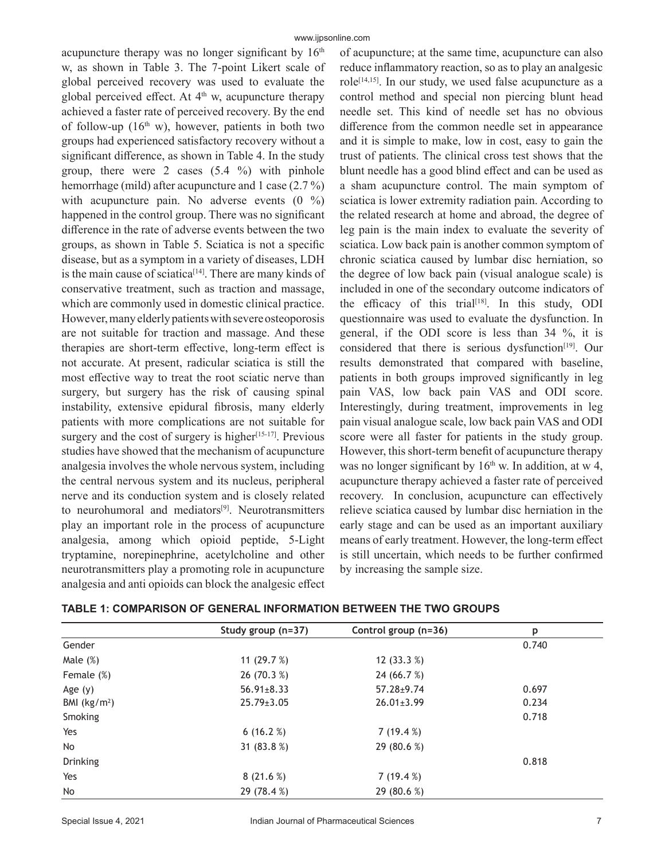acupuncture therapy was no longer significant by  $16<sup>th</sup>$ w, as shown in Table 3. The 7-point Likert scale of global perceived recovery was used to evaluate the global perceived effect. At  $4<sup>th</sup>$  w, acupuncture therapy achieved a faster rate of perceived recovery. By the end of follow-up  $(16<sup>th</sup> w)$ , however, patients in both two groups had experienced satisfactory recovery without a significant difference, as shown in Table 4. In the study group, there were 2 cases (5.4 %) with pinhole hemorrhage (mild) after acupuncture and 1 case (2.7 %) with acupuncture pain. No adverse events  $(0 \%)$ happened in the control group. There was no significant difference in the rate of adverse events between the two groups, as shown in Table 5. Sciatica is not a specific disease, but as a symptom in a variety of diseases, LDH is the main cause of sciatica<sup>[14]</sup>. There are many kinds of conservative treatment, such as traction and massage, which are commonly used in domestic clinical practice. However, many elderly patients with severe osteoporosis are not suitable for traction and massage. And these therapies are short-term effective, long-term effect is not accurate. At present, radicular sciatica is still the most effective way to treat the root sciatic nerve than surgery, but surgery has the risk of causing spinal instability, extensive epidural fibrosis, many elderly patients with more complications are not suitable for surgery and the cost of surgery is higher $[15-17]$ . Previous studies have showed that the mechanism of acupuncture analgesia involves the whole nervous system, including the central nervous system and its nucleus, peripheral nerve and its conduction system and is closely related to neurohumoral and mediators<sup>[9]</sup>. Neurotransmitters play an important role in the process of acupuncture analgesia, among which opioid peptide, 5-Light tryptamine, norepinephrine, acetylcholine and other neurotransmitters play a promoting role in acupuncture analgesia and anti opioids can block the analgesic effect of acupuncture; at the same time, acupuncture can also reduce inflammatory reaction, so as to play an analgesic role<sup>[14,15]</sup>. In our study, we used false acupuncture as a control method and special non piercing blunt head needle set. This kind of needle set has no obvious difference from the common needle set in appearance and it is simple to make, low in cost, easy to gain the trust of patients. The clinical cross test shows that the blunt needle has a good blind effect and can be used as a sham acupuncture control. The main symptom of sciatica is lower extremity radiation pain. According to the related research at home and abroad, the degree of leg pain is the main index to evaluate the severity of sciatica. Low back pain is another common symptom of chronic sciatica caused by lumbar disc herniation, so the degree of low back pain (visual analogue scale) is included in one of the secondary outcome indicators of the efficacy of this trial<sup>[18]</sup>. In this study, ODI questionnaire was used to evaluate the dysfunction. In general, if the ODI score is less than 34 %, it is considered that there is serious dysfunction<sup>[19]</sup>. Our results demonstrated that compared with baseline, patients in both groups improved significantly in leg pain VAS, low back pain VAS and ODI score. Interestingly, during treatment, improvements in leg pain visual analogue scale, low back pain VAS and ODI score were all faster for patients in the study group. However, this short-term benefit of acupuncture therapy was no longer significant by  $16<sup>th</sup>$  w. In addition, at w 4, acupuncture therapy achieved a faster rate of perceived recovery. In conclusion, acupuncture can effectively relieve sciatica caused by lumbar disc herniation in the early stage and can be used as an important auxiliary means of early treatment. However, the long-term effect is still uncertain, which needs to be further confirmed by increasing the sample size.

|  | <b>TABLE 1: COMPARISON OF GENERAL INFORMATION BETWEEN THE TWO GROUPS</b> |
|--|--------------------------------------------------------------------------|
|--|--------------------------------------------------------------------------|

|               | Study group (n=37) | Control group (n=36) | p     |
|---------------|--------------------|----------------------|-------|
| Gender        |                    |                      | 0.740 |
| Male $(\%)$   | 11 $(29.7%)$       | 12 $(33.3%)$         |       |
| Female (%)    | 26(70.3%)          | 24 (66.7 %)          |       |
| Age $(y)$     | $56.91 \pm 8.33$   | $57.28 \pm 9.74$     | 0.697 |
| BMI $(kg/m2)$ | $25.79 \pm 3.05$   | $26.01 \pm 3.99$     | 0.234 |
| Smoking       |                    |                      | 0.718 |
| Yes           | 6(16.2%)           | 7(19.4%)             |       |
| <b>No</b>     | 31 $(83.8%)$       | 29 (80.6 %)          |       |
| Drinking      |                    |                      | 0.818 |
| Yes           | 8(21.6%)           | 7(19.4%)             |       |
| No            | 29 (78.4 %)        | 29 (80.6 %)          |       |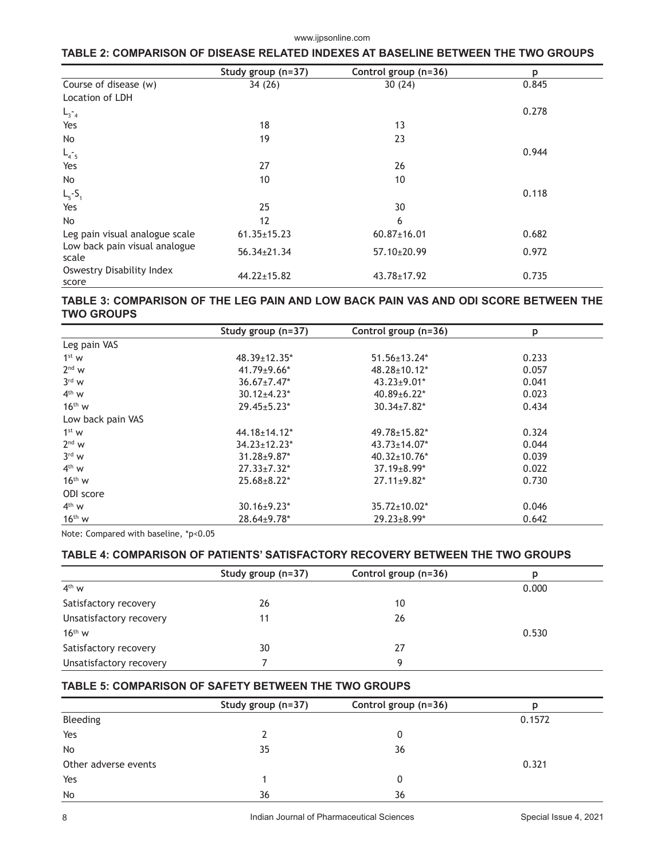# **TABLE 2: COMPARISON OF DISEASE RELATED INDEXES AT BASELINE BETWEEN THE TWO GROUPS**

|                                        | Study group (n=37) | Control group (n=36) | p     |
|----------------------------------------|--------------------|----------------------|-------|
| Course of disease (w)                  | 34 (26)            | 30(24)               | 0.845 |
| Location of LDH                        |                    |                      |       |
| $L_{3-4}$                              |                    |                      | 0.278 |
| Yes                                    | 18                 | 13                   |       |
| No                                     | 19                 | 23                   |       |
| $L_{4.5}$                              |                    |                      | 0.944 |
| Yes                                    | 27                 | 26                   |       |
| No                                     | 10                 | 10                   |       |
| $L_{5} - S_{1}$                        |                    |                      | 0.118 |
| Yes                                    | 25                 | 30                   |       |
| <b>No</b>                              | 12                 | 6                    |       |
| Leg pain visual analogue scale         | $61.35 \pm 15.23$  | $60.87 \pm 16.01$    | 0.682 |
| Low back pain visual analogue<br>scale | 56.34±21.34        | 57.10±20.99          | 0.972 |
| Oswestry Disability Index<br>score     | $44.22 \pm 15.82$  | 43.78±17.92          | 0.735 |

## **TABLE 3: COMPARISON OF THE LEG PAIN AND LOW BACK PAIN VAS AND ODI SCORE BETWEEN THE TWO GROUPS**

|                   | Study group $(n=37)$ | Control group (n=36)          | p     |
|-------------------|----------------------|-------------------------------|-------|
| Leg pain VAS      |                      |                               |       |
| 1 <sup>st</sup> w | $48.39 \pm 12.35^*$  | $51.56 \pm 13.24*$            | 0.233 |
| $2nd$ w           | $41.79 \pm 9.66$ *   | $48.28 \pm 10.12^*$           | 0.057 |
| $3rd$ W           | $36.67 \pm 7.47$ *   | $43.23 \pm 9.01^*$            | 0.041 |
| $4th$ W           | $30.12{\pm}4.23*$    | $40.89 \pm 6.22$ *            | 0.023 |
| $16th$ W          | $29.45 \pm 5.23*$    | $30.34 \pm 7.82$ <sup>*</sup> | 0.434 |
| Low back pain VAS |                      |                               |       |
| 1 <sup>st</sup> w | $44.18 \pm 14.12$ *  | $49.78 \pm 15.82$ *           | 0.324 |
| $2nd$ W           | $34.23 \pm 12.23$ *  | $43.73 \pm 14.07$ *           | 0.044 |
| $3rd$ W           | $31.28 \pm 9.87$ *   | $40.32 \pm 10.76$ *           | 0.039 |
| $4th$ W           | $27.33 \pm 7.32^*$   | $37.19 \pm 8.99*$             | 0.022 |
| $16th$ W          | $25.68 \pm 8.22*$    | $27.11 \pm 9.82$ *            | 0.730 |
| ODI score         |                      |                               |       |
| $4th$ W           | $30.16 \pm 9.23$ *   | $35.72 \pm 10.02^*$           | 0.046 |
| $16th$ W          | 28.64±9.78*          | $29.23 \pm 8.99*$             | 0.642 |

Note: Compared with baseline, \*p<0.05

# **TABLE 4: COMPARISON OF PATIENTS' SATISFACTORY RECOVERY BETWEEN THE TWO GROUPS**

|                         | Study group (n=37) | Control group (n=36) | D     |
|-------------------------|--------------------|----------------------|-------|
| $4th$ W                 |                    |                      | 0.000 |
| Satisfactory recovery   | 26                 | 10                   |       |
| Unsatisfactory recovery | 11                 | 26                   |       |
| $16^{\text{th}}$ W      |                    |                      | 0.530 |
| Satisfactory recovery   | 30                 | 27                   |       |
| Unsatisfactory recovery |                    | q                    |       |

## **TABLE 5: COMPARISON OF SAFETY BETWEEN THE TWO GROUPS**

|                      | Study group (n=37) | Control group (n=36) |        |
|----------------------|--------------------|----------------------|--------|
| Bleeding             |                    |                      | 0.1572 |
| Yes                  |                    |                      |        |
| <b>No</b>            | 35                 | 36                   |        |
| Other adverse events |                    |                      | 0.321  |
| Yes                  |                    |                      |        |
| <b>No</b>            | 36                 | 36                   |        |